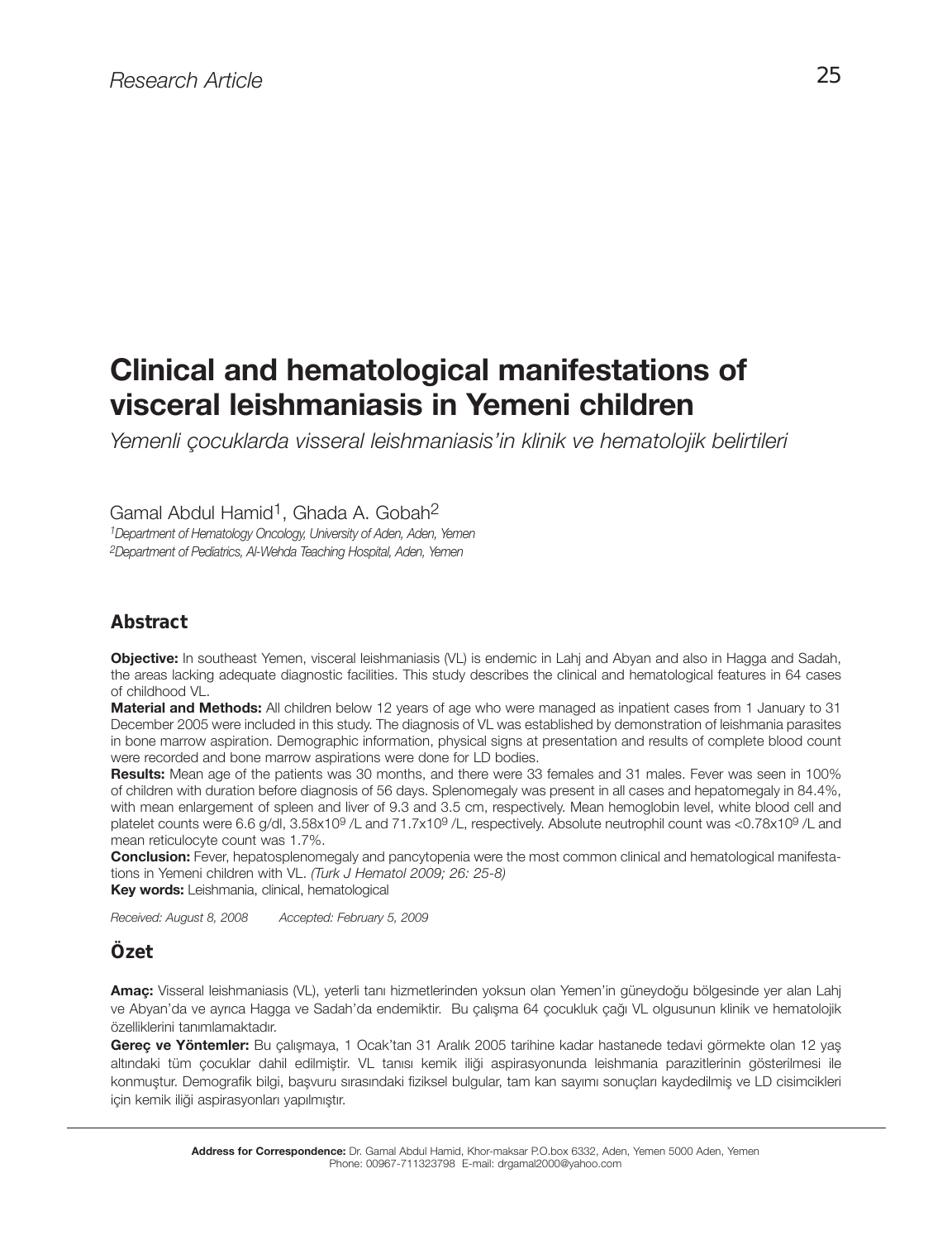# **Clinical and hematological manifestations of visceral leishmaniasis in Yemeni children**

*Yemenli çocuklarda visseral leishmaniasis'in klinik ve hematolojik belirtileri*

Gamal Abdul Hamid<sup>1</sup>, Ghada A. Gobah<sup>2</sup>

*1Department of Hematology Oncology, University of Aden, Aden, Yemen 2Department of Pediatrics, Al-Wehda Teaching Hospital, Aden, Yemen*

## *Abstract*

**Objective:** In southeast Yemen, visceral leishmaniasis (VL) is endemic in Lahj and Abyan and also in Hagga and Sadah, the areas lacking adequate diagnostic facilities. This study describes the clinical and hematological features in 64 cases of childhood VL.

**Material and Methods:** All children below 12 years of age who were managed as inpatient cases from 1 January to 31 December 2005 were included in this study. The diagnosis of VL was established by demonstration of leishmania parasites in bone marrow aspiration. Demographic information, physical signs at presentation and results of complete blood count were recorded and bone marrow aspirations were done for LD bodies.

**Results:** Mean age of the patients was 30 months, and there were 33 females and 31 males. Fever was seen in 100% of children with duration before diagnosis of 56 days. Splenomegaly was present in all cases and hepatomegaly in 84.4%, with mean enlargement of spleen and liver of 9.3 and 3.5 cm, respectively. Mean hemoglobin level, white blood cell and platelet counts were 6.6 g/dl, 3.58x10<sup>9</sup> /L and 71.7x10<sup>9</sup> /L, respectively. Absolute neutrophil count was <0.78x10<sup>9</sup> /L and mean reticulocyte count was 1.7%.

**Conclusion:** Fever, hepatosplenomegaly and pancytopenia were the most common clinical and hematological manifestations in Yemeni children with VL. *(Turk J Hematol 2009; 26: 25-8)*

**Key words:** Leishmania, clinical, hematological

*Received: August 8, 2008 Accepted: February 5, 2009*

## *Özet*

**Amaç:** Visseral leishmaniasis (VL), yeterli tanı hizmetlerinden yoksun olan Yemen'in güneydoğu bölgesinde yer alan Lahj ve Abyan'da ve ayrıca Hagga ve Sadah'da endemiktir. Bu çalışma 64 çocukluk çağı VL olgusunun klinik ve hematolojik özelliklerini tanımlamaktadır.

**Gereç ve Yöntemler:** Bu çalışmaya, 1 Ocak'tan 31 Aralık 2005 tarihine kadar hastanede tedavi görmekte olan 12 yaş altındaki tüm çocuklar dahil edilmiştir. VL tanısı kemik iliği aspirasyonunda leishmania parazitlerinin gösterilmesi ile konmuştur. Demografik bilgi, başvuru sırasındaki fiziksel bulgular, tam kan sayımı sonuçları kaydedilmiş ve LD cisimcikleri için kemik iliği aspirasyonları yapılmıştır.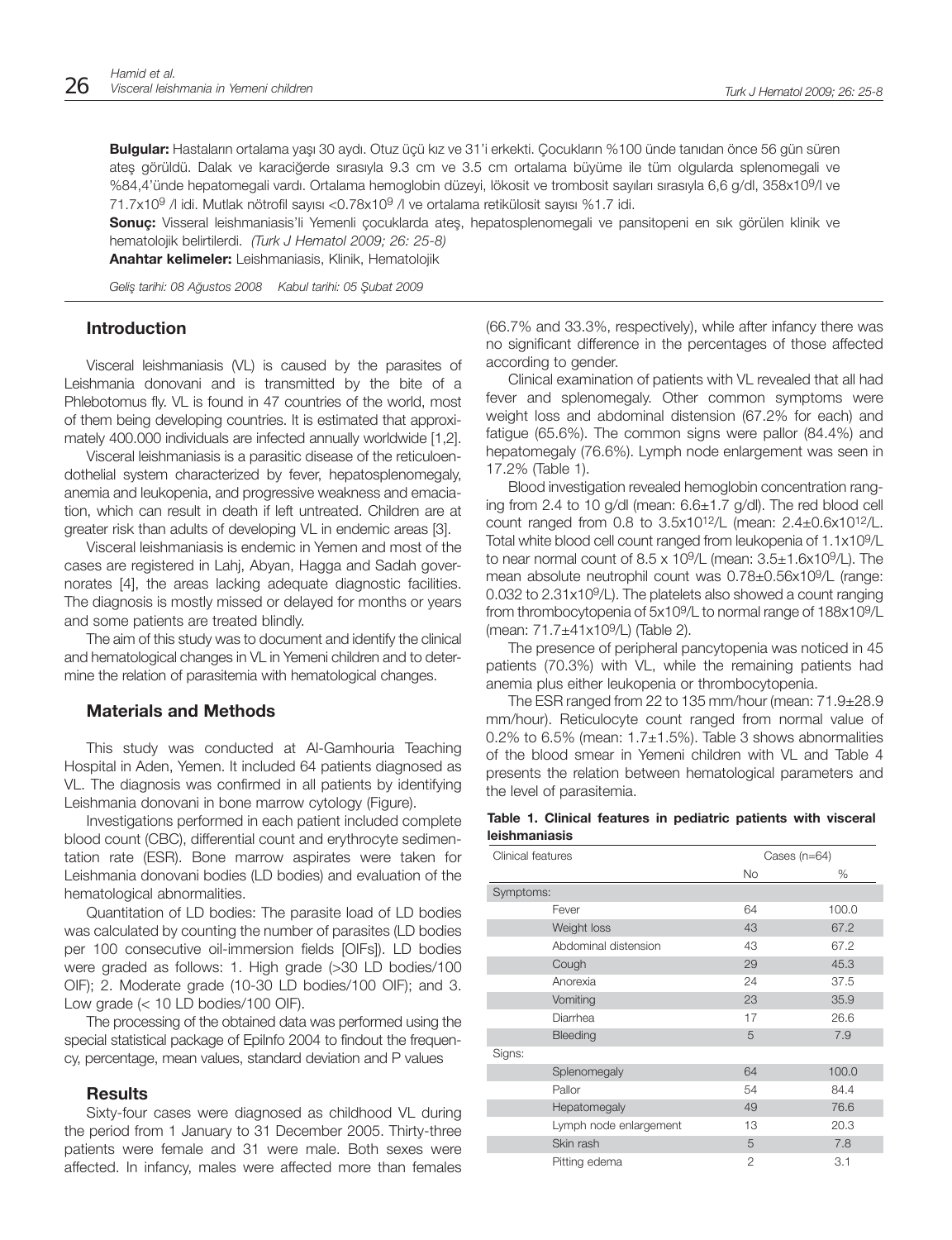**Bulgular:** Hastaların ortalama yaşı 30 aydı. Otuz üçü kız ve 31'i erkekti. Çocukların %100 ünde tanıdan önce 56 gün süren ateş görüldü. Dalak ve karaciğerde sırasıyla 9.3 cm ve 3.5 cm ortalama büyüme ile tüm olgularda splenomegali ve %84,4'ünde hepatomegali vardı. Ortalama hemoglobin düzeyi, lökosit ve trombosit sayıları sırasıyla 6,6 g/dl, 358x109/l ve 71.7x109 /l idi. Mutlak nötrofil sayısı <0.78x109 /l ve ortalama retikülosit sayısı %1.7 idi.

**Sonuç:** Visseral leishmaniasis'li Yemenli çocuklarda ateş, hepatosplenomegali ve pansitopeni en sık görülen klinik ve hematolojik belirtilerdi. *(Turk J Hematol 2009; 26: 25-8)*

**Anahtar kelimeler:** Leishmaniasis, Klinik, Hematolojik

*Geliş tarihi: 08 Ağustos 2008 Kabul tarihi: 05 Şubat 2009*

#### **In tro duc ti on**

Visceral leishmaniasis (VL) is caused by the parasites of Leishmania donovani and is transmitted by the bite of a Phlebotomus fly. VL is found in 47 countries of the world, most of them being developing countries. It is estimated that approximately 400.000 individuals are infected annually worldwide [1,2].

Visceral leishmaniasis is a parasitic disease of the reticuloendothelial system characterized by fever, hepatosplenomegaly, anemia and leukopenia, and progressive weakness and emaciation, which can result in death if left untreated. Children are at greater risk than adults of developing VL in endemic areas [3].

Visceral leishmaniasis is endemic in Yemen and most of the cases are registered in Lahj, Abyan, Hagga and Sadah governorates [4], the areas lacking adequate diagnostic facilities. The diagnosis is mostly missed or delayed for months or years and some patients are treated blindly.

The aim of this study was to document and identify the clinical and hematological changes in VL in Yemeni children and to determine the relation of parasitemia with hematological changes.

#### **Materials and Methods**

This study was conducted at Al-Gamhouria Teaching Hospital in Aden, Yemen. It included 64 patients diagnosed as VL. The diagnosis was confirmed in all patients by identifying Leishmania donovani in bone marrow cytology (Figure).

Investigations performed in each patient included complete blood count (CBC), differential count and erythrocyte sedimentation rate (ESR). Bone marrow aspirates were taken for Leishmania donovani bodies (LD bodies) and evaluation of the hematological abnormalities.

Quantitation of LD bodies: The parasite load of LD bodies was calculated by counting the number of parasites (LD bodies per 100 consecutive oil-immersion fields [OIFs]). LD bodies were graded as follows: 1. High grade (>30 LD bodies/100 OIF); 2. Moderate grade (10-30 LD bodies/100 OIF); and 3. Low grade  $\left($  < 10 LD bodies/100 OIF).

The processing of the obtained data was performed using the special statistical package of EpiInfo 2004 to findout the frequency, percentage, mean values, standard deviation and P values

#### **Results**

Sixty-four cases were diagnosed as childhood VL during the period from 1 January to 31 December 2005. Thirty-three patients were female and 31 were male. Both sexes were affected. In infancy, males were affected more than females (66.7% and 33.3%, respectively), while after infancy there was no significant difference in the percentages of those affected according to gender.

Clinical examination of patients with VL revealed that all had fever and splenomegaly. Other common symptoms were weight loss and abdominal distension (67.2% for each) and fatigue (65.6%). The common signs were pallor (84.4%) and hepatomegaly (76.6%). Lymph node enlargement was seen in 17.2% (Table 1).

Blood investigation revealed hemoglobin concentration ranging from 2.4 to 10 g/dl (mean: 6.6±1.7 g/dl). The red blood cell count ranged from 0.8 to  $3.5x10^{12}/L$  (mean:  $2.4\pm0.6x10^{12}/L$ . Total white blood cell count ranged from leukopenia of 1.1x109/L to near normal count of  $8.5 \times 10^9$ /L (mean:  $3.5 \pm 1.6 \times 10^9$ /L). The mean absolute neutrophil count was 0.78±0.56x109/L (range: 0.032 to 2.31x109/L). The platelets also showed a count ranging from thrombocytopenia of 5x109/L to normal range of 188x109/L (mean: 71.7±41x109/L) (Table 2).

The presence of peripheral pancytopenia was noticed in 45 patients (70.3%) with VL, while the remaining patients had anemia plus either leukopenia or thrombocytopenia.

The ESR ranged from 22 to 135 mm/hour (mean: 71.9±28.9 mm/hour). Reticulocyte count ranged from normal value of 0.2% to 6.5% (mean:  $1.7\pm1.5$ %). Table 3 shows abnormalities of the blood smear in Yemeni children with VL and Table 4 presents the relation between hematological parameters and the level of parasitemia.

#### **Table 1. Clinical features in pediatric patients with visceral leishmaniasis**

| Clinical features      | Cases $(n=64)$ |       |
|------------------------|----------------|-------|
|                        | No.            | %     |
| Symptoms:              |                |       |
| Fever                  | 64             | 100.0 |
| Weight loss            | 43             | 67.2  |
| Abdominal distension   | 43             | 67.2  |
| Cough                  | 29             | 45.3  |
| Anorexia               | 24             | 37.5  |
| Vomiting               | 23             | 35.9  |
| Diarrhea               | 17             | 26.6  |
| Bleeding               | 5              | 7.9   |
| Signs:                 |                |       |
| Splenomegaly           | 64             | 100.0 |
| Pallor                 | 54             | 84.4  |
| Hepatomegaly           | 49             | 76.6  |
| Lymph node enlargement | 13             | 20.3  |
| Skin rash              | 5              | 7.8   |
| Pitting edema          | 2              | 3.1   |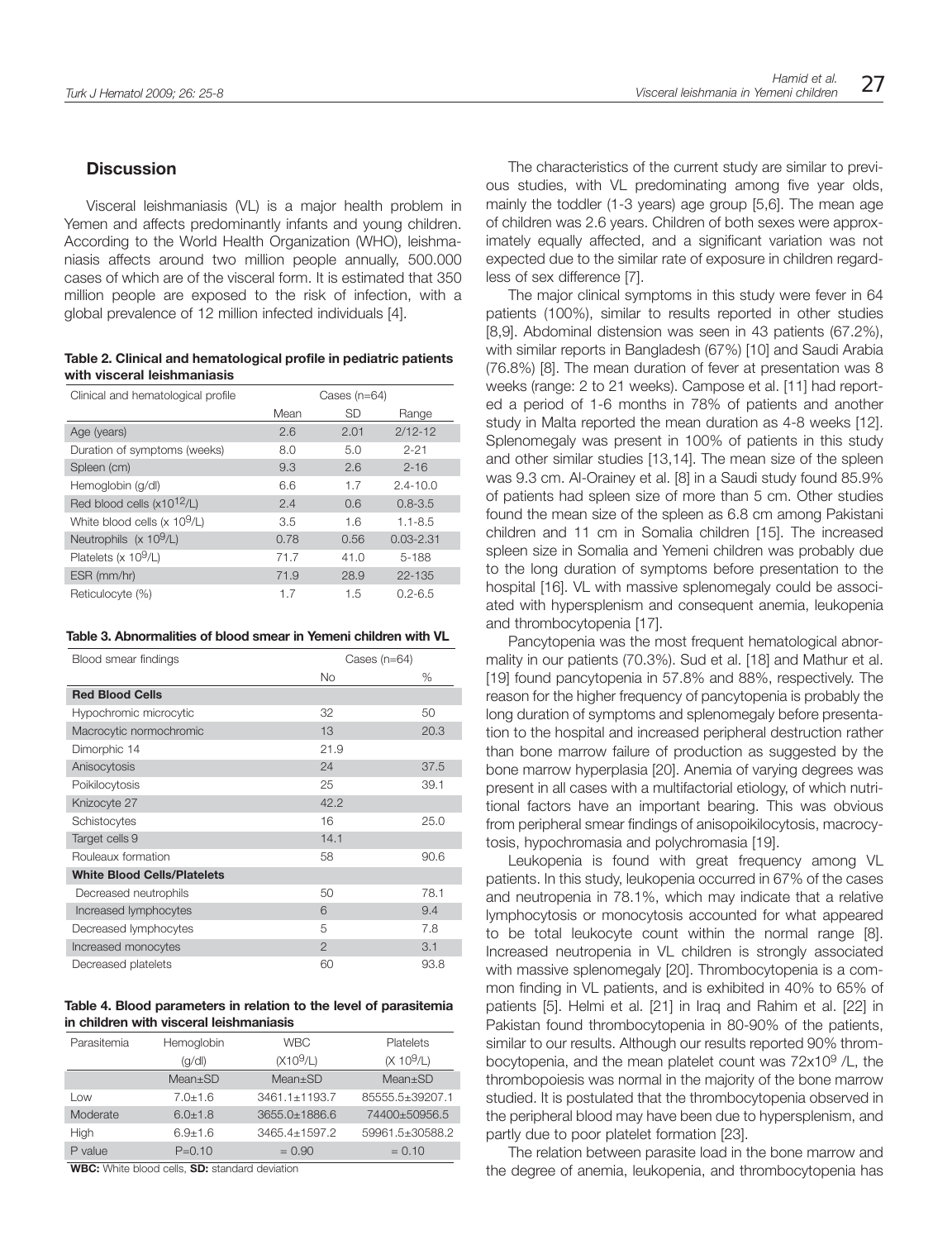### **Discussion**

Visceral leishmaniasis (VL) is a major health problem in Yemen and affects predominantly infants and young children. According to the World Health Organization (WHO), leishmaniasis affects around two million people annually, 500.000 cases of which are of the visceral form. It is estimated that 350 million people are exposed to the risk of infection, with a global prevalence of 12 million infected individuals [4].

#### **Table 2. Clinical and hematological profile in pediatric patients with visceral leishmaniasis**

| Clinical and hematological profile       | Cases $(n=64)$ |           |               |
|------------------------------------------|----------------|-----------|---------------|
|                                          | Mean           | <b>SD</b> | Range         |
| Age (years)                              | 2.6            | 2.01      | $2/12 - 12$   |
| Duration of symptoms (weeks)             | 8.0            | 5.0       | $2 - 21$      |
| Spleen (cm)                              | 9.3            | 2.6       | $2 - 16$      |
| Hemoglobin (g/dl)                        | 6.6            | 1.7       | $2.4 - 10.0$  |
| Red blood cells $(x10^{12}/L)$           | 2.4            | 0.6       | $0.8 - 3.5$   |
| White blood cells $(x 10^9/L)$           | 3.5            | 1.6       | $1.1 - 8.5$   |
| Neutrophils $(x 109/L)$                  | 0.78           | 0.56      | $0.03 - 2.31$ |
| Platelets ( $\times$ 10 <sup>9</sup> /L) | 71.7           | 41.0      | $5 - 188$     |
| ESR (mm/hr)                              | 71.9           | 28.9      | $22 - 135$    |
| Reticulocyte (%)                         | 1.7            | 1.5       | $0.2 - 6.5$   |

#### **Table 3. Abnormalities of blood smear in Yemeni children with VL**

| Blood smear findings               | Cases $(n=64)$ |      |
|------------------------------------|----------------|------|
|                                    | <b>No</b>      | %    |
| <b>Red Blood Cells</b>             |                |      |
| Hypochromic microcytic             | 32             | 50   |
| Macrocytic normochromic            | 13             | 20.3 |
| Dimorphic 14                       | 21.9           |      |
| Anisocytosis                       | 24             | 37.5 |
| Poikilocytosis                     | 25             | 39.1 |
| Knizocyte 27                       | 42.2           |      |
| Schistocytes                       | 16             | 25.0 |
| Target cells 9                     | 14.1           |      |
| Rouleaux formation                 | 58             | 90.6 |
| <b>White Blood Cells/Platelets</b> |                |      |
| Decreased neutrophils              | 50             | 78.1 |
| Increased lymphocytes              | 6              | 9.4  |
| Decreased lymphocytes              | 5              | 7.8  |
| Increased monocytes                | $\overline{2}$ | 3.1  |
| Decreased platelets                | 60             | 93.8 |

#### **Table 4. Blood parameters in relation to the level of parasitemia in children with visceral leishmaniasis**

| Parasitemia | Hemoglobin  | <b>WBC</b>    | Platelets       |
|-------------|-------------|---------------|-----------------|
|             | (q/d)       | $(X10^9/L)$   | $(X 10^9/L)$    |
|             | $Mean+SD$   | $Mean+SD$     | $Mean+SD$       |
| Low         | $7.0 + 1.6$ | 3461.1±1193.7 | 85555.5+39207.1 |
| Moderate    | $6.0 + 1.8$ | 3655.0+1886.6 | 74400+50956.5   |
| High        | $6.9 + 1.6$ | 3465.4+1597.2 | 59961.5±30588.2 |
| P value     | $P = 0.10$  | $= 0.90$      | $= 0.10$        |

**WBC:** White blood cells, **SD:** standard deviation

The characteristics of the current study are similar to previous studies, with VL predominating among five year olds, mainly the toddler (1-3 years) age group [5,6]. The mean age of children was 2.6 years. Children of both sexes were approximately equally affected, and a significant variation was not expected due to the similar rate of exposure in children regardless of sex difference [7].

The major clinical symptoms in this study were fever in 64 patients (100%), similar to results reported in other studies [8,9]. Abdominal distension was seen in 43 patients (67.2%), with similar reports in Bangladesh (67%) [10] and Saudi Arabia (76.8%) [8]. The mean duration of fever at presentation was 8 weeks (range: 2 to 21 weeks). Campose et al. [11] had reported a period of 1-6 months in 78% of patients and another study in Malta reported the mean duration as 4-8 weeks [12]. Splenomegaly was present in 100% of patients in this study and other similar studies [13,14]. The mean size of the spleen was 9.3 cm. Al-Orainey et al. [8] in a Saudi study found 85.9% of patients had spleen size of more than 5 cm. Other studies found the mean size of the spleen as 6.8 cm among Pakistani children and 11 cm in Somalia children [15]. The increased spleen size in Somalia and Yemeni children was probably due to the long duration of symptoms before presentation to the hospital [16]. VL with massive splenomegaly could be associated with hypersplenism and consequent anemia, leukopenia and thrombocytopenia [17].

Pancytopenia was the most frequent hematological abnormality in our patients (70.3%). Sud et al. [18] and Mathur et al. [19] found pancytopenia in 57.8% and 88%, respectively. The reason for the higher frequency of pancytopenia is probably the long duration of symptoms and splenomegaly before presentation to the hospital and increased peripheral destruction rather than bone marrow failure of production as suggested by the bone marrow hyperplasia [20]. Anemia of varying degrees was present in all cases with a multifactorial etiology, of which nutritional factors have an important bearing. This was obvious from peripheral smear findings of anisopoikilocytosis, macrocytosis, hypochromasia and polychromasia [19].

Leukopenia is found with great frequency among VL patients. In this study, leukopenia occurred in 67% of the cases and neutropenia in 78.1%, which may indicate that a relative lymphocytosis or monocytosis accounted for what appeared to be total leukocyte count within the normal range [8]. Increased neutropenia in VL children is strongly associated with massive splenomegaly [20]. Thrombocytopenia is a common finding in VL patients, and is exhibited in 40% to 65% of patients [5]. Helmi et al. [21] in Iraq and Rahim et al. [22] in Pakistan found thrombocytopenia in 80-90% of the patients, similar to our results. Although our results reported 90% thrombocytopenia, and the mean platelet count was 72x109 /L, the thrombopoiesis was normal in the majority of the bone marrow studied. It is postulated that the thrombocytopenia observed in the peripheral blood may have been due to hypersplenism, and partly due to poor platelet formation [23].

The relation between parasite load in the bone marrow and the degree of anemia, leukopenia, and thrombocytopenia has